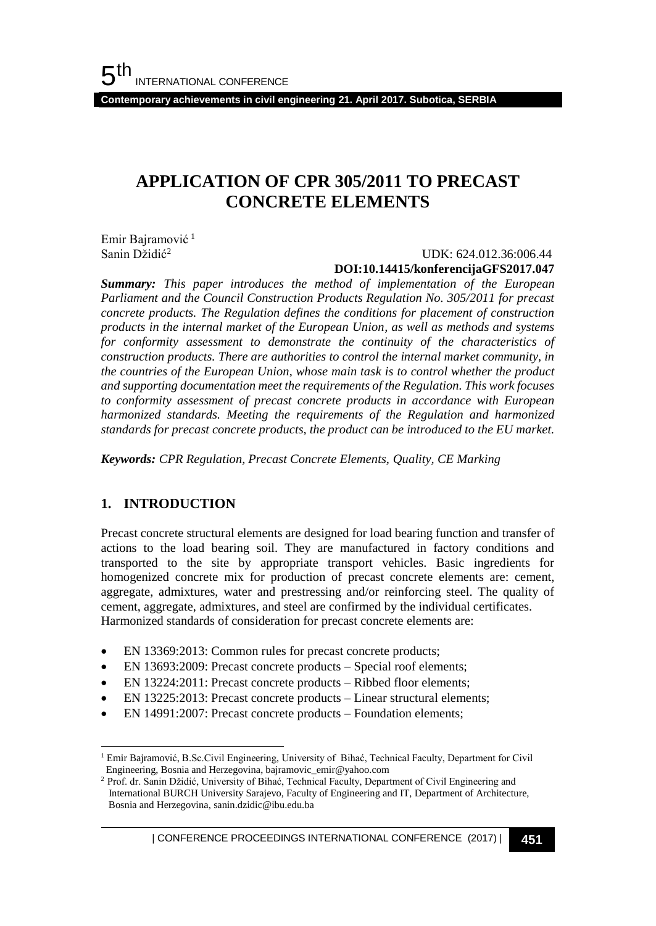## **APPLICATION OF CPR 305/2011 TO PRECAST CONCRETE ELEMENTS**

Emir Bairamović<sup>1</sup> Sanin Džidić<sup>2</sup>

#### UDK: 624.012.36:006.44 **DOI:10.14415/konferencijaGFS2017.047**

*Summary: This paper introduces the method of implementation of the European Parliament and the Council Construction Products Regulation No. 305/2011 for precast concrete products. The Regulation defines the conditions for placement of construction products in the internal market of the European Union, as well as methods and systems for conformity assessment to demonstrate the continuity of the characteristics of construction products. There are authorities to control the internal market community, in the countries of the European Union, whose main task is to control whether the product and supporting documentation meet the requirements of the Regulation. This work focuses to conformity assessment of precast concrete products in accordance with European harmonized standards. Meeting the requirements of the Regulation and harmonized standards for precast concrete products, the product can be introduced to the EU market.*

*Keywords: CPR Regulation, Precast Concrete Elements, Quality, CE Marking*

#### **1. INTRODUCTION**

Precast concrete structural elements are designed for load bearing function and transfer of actions to the load bearing soil. They are manufactured in factory conditions and transported to the site by appropriate transport vehicles. Basic ingredients for homogenized concrete mix for production of precast concrete elements are: cement, aggregate, admixtures, water and prestressing and/or reinforcing steel. The quality of cement, aggregate, admixtures, and steel are confirmed by the individual certificates. Harmonized standards of consideration for precast concrete elements are:

- EN 13369:2013: Common rules for precast concrete products;
- EN 13693:2009: Precast concrete products Special roof elements;
- EN 13224:2011: Precast concrete products Ribbed floor elements;
- EN 13225:2013: Precast concrete products Linear structural elements;
- EN 14991:2007: Precast concrete products Foundation elements;

l <sup>1</sup> Emir Bajramović, B.Sc.Civil Engineering, University of Bihać, Technical Faculty, Department for Civil Engineering, Bosnia and Herzegovina, bajramovic\_emir@yahoo.com

<sup>&</sup>lt;sup>2</sup> Prof. dr. Sanin Džidić, University of Bihać, Technical Faculty, Department of Civil Engineering and International BURCH University Sarajevo, Faculty of Engineering and IT, Department of Architecture, Bosnia and Herzegovina, sanin.dzidic@ibu.edu.ba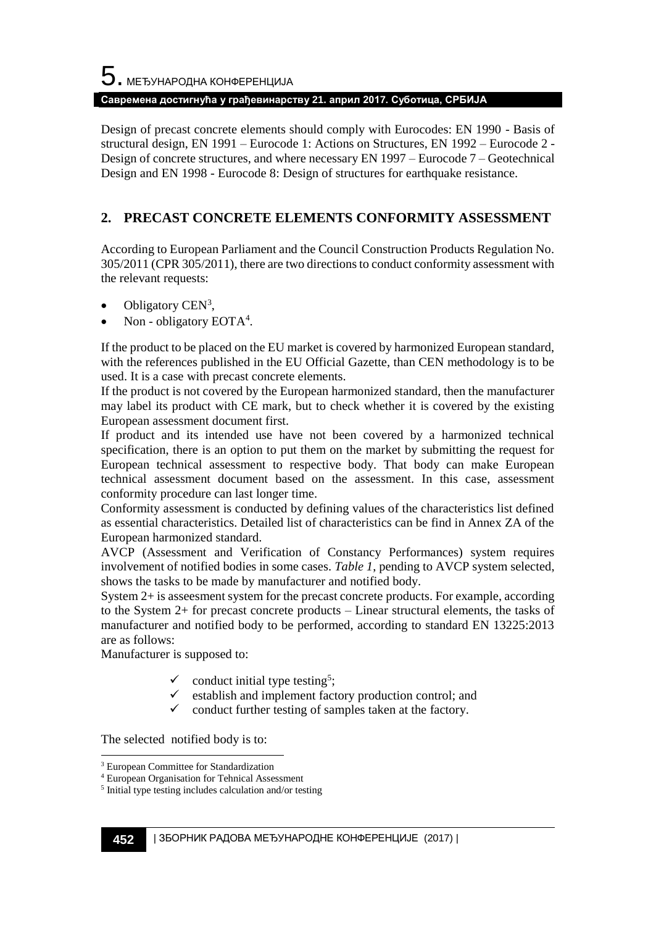# $5$ . међународна конференција **Савремена достигнућа у грађевинарству 21. април 2017. Суботица, СРБИЈА**

Design of precast concrete elements should comply with Eurocodes: EN 1990 - Basis of structural design, EN 1991 – Eurocode 1: Actions on Structures, EN 1992 – Eurocode 2 - Design of concrete structures, and where necessary EN 1997 – Eurocode 7 – Geotechnical Design and EN 1998 - Eurocode 8: Design of structures for earthquake resistance.

## **2. PRECAST CONCRETE ELEMENTS CONFORMITY ASSESSMENT**

According to European Parliament and the Council Construction Products Regulation No. 305/2011 (CPR 305/2011), there are two directions to conduct conformity assessment with the relevant requests:

- $\bullet$  Obligatory CEN<sup>3</sup>,
- Non obligatory EOTA<sup>4</sup>.

If the product to be placed on the EU market is covered by harmonized European standard, with the references published in the EU Official Gazette, than CEN methodology is to be used. It is a case with precast concrete elements.

If the product is not covered by the European harmonized standard, then the manufacturer may label its product with CE mark, but to check whether it is covered by the existing European assessment document first.

If product and its intended use have not been covered by a harmonized technical specification, there is an option to put them on the market by submitting the request for European technical assessment to respective body. That body can make European technical assessment document based on the assessment. In this case, assessment conformity procedure can last longer time.

Conformity assessment is conducted by defining values of the characteristics list defined as essential characteristics. Detailed list of characteristics can be find in Annex ZA of the European harmonized standard.

AVCP (Assessment and Verification of Constancy Performances) system requires involvement of notified bodies in some cases. *Table 1*, pending to AVCP system selected, shows the tasks to be made by manufacturer and notified body.

System 2+ is asseesment system for the precast concrete products. For example, according to the System 2+ for precast concrete products – Linear structural elements, the tasks of manufacturer and notified body to be performed, according to standard EN 13225:2013 are as follows:

Manufacturer is supposed to:

- $\checkmark$  conduct initial type testing<sup>5</sup>;
- establish and implement factory production control; and
- conduct further testing of samples taken at the factory.

The selected notified body is to:

l

<sup>3</sup> European Committee for Standardization

<sup>4</sup> European Organisation for Tehnical Assessment

<sup>5</sup> Initial type testing includes calculation and/or testing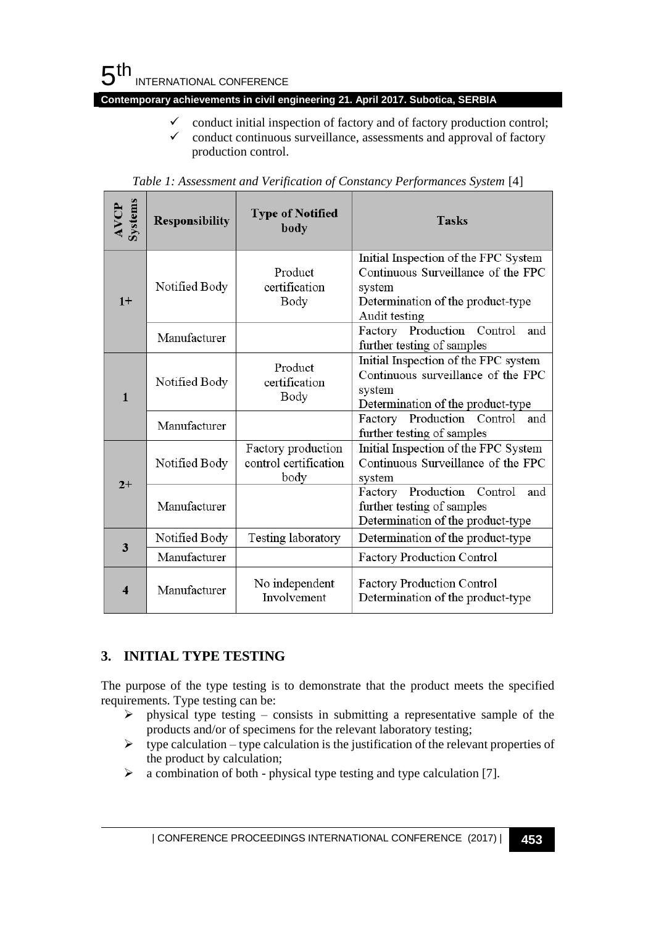

- $\checkmark$  conduct initial inspection of factory and of factory production control;
- $\checkmark$  conduct continuous surveillance, assessments and approval of factory production control.

| <b>Systems</b><br><b>AVCP</b> | <b>Responsibility</b> | <b>Type of Notified</b><br>body                     | <b>Tasks</b>                                                                                                                               |
|-------------------------------|-----------------------|-----------------------------------------------------|--------------------------------------------------------------------------------------------------------------------------------------------|
| $1+$                          | Notified Body         | Product<br>certification<br>Body                    | Initial Inspection of the FPC System<br>Continuous Surveillance of the FPC<br>system<br>Determination of the product-type<br>Audit testing |
|                               | Manufacturer          |                                                     | Factory Production Control<br>and<br>further testing of samples                                                                            |
| $\mathbf{1}$                  | Notified Body         | Product<br>certification<br>Body                    | Initial Inspection of the FPC system<br>Continuous surveillance of the FPC<br>system<br>Determination of the product-type                  |
|                               | Manufacturer          |                                                     | Production<br>Control<br>Factory<br>and<br>further testing of samples                                                                      |
| $2+$                          | Notified Body         | Factory production<br>control certification<br>body | Initial Inspection of the FPC System<br>Continuous Surveillance of the FPC<br>system                                                       |
|                               | Manufacturer          |                                                     | Production<br>Control<br>Factory<br>and<br>further testing of samples<br>Determination of the product-type                                 |
| 3                             | Notified Body         | Testing laboratory                                  | Determination of the product-type                                                                                                          |
|                               | Manufacturer          |                                                     | <b>Factory Production Control</b>                                                                                                          |
| $\overline{\mathbf{4}}$       | Manufacturer          | No independent<br>Involvement                       | <b>Factory Production Control</b><br>Determination of the product-type                                                                     |

*Table 1: Assessment and Verification of Constancy Performances System* [4]

#### **3. INITIAL TYPE TESTING**

The purpose of the type testing is to demonstrate that the product meets the specified requirements. Type testing can be:

- ➢ physical type testing consists in submitting a representative sample of the products and/or of specimens for the relevant laboratory testing;
- $\triangleright$  type calculation type calculation is the justification of the relevant properties of the product by calculation;
- ➢ a combination of both physical type testing and type calculation [7].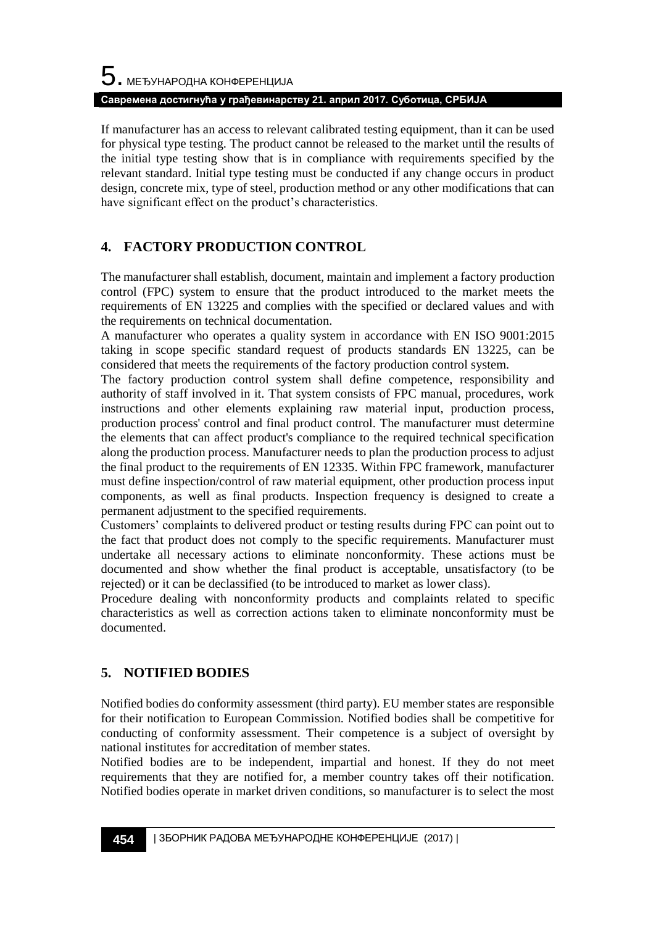If manufacturer has an access to relevant calibrated testing equipment, than it can be used for physical type testing. The product cannot be released to the market until the results of the initial type testing show that is in compliance with requirements specified by the relevant standard. Initial type testing must be conducted if any change occurs in product design, concrete mix, type of steel, production method or any other modifications that can have significant effect on the product's characteristics.

## **4. FACTORY PRODUCTION CONTROL**

The manufacturer shall establish, document, maintain and implement a factory production control (FPC) system to ensure that the product introduced to the market meets the requirements of EN 13225 and complies with the specified or declared values and with the requirements on technical documentation.

A manufacturer who operates a quality system in accordance with EN ISO 9001:2015 taking in scope specific standard request of products standards EN 13225, can be considered that meets the requirements of the factory production control system.

The factory production control system shall define competence, responsibility and authority of staff involved in it. That system consists of FPC manual, procedures, work instructions and other elements explaining raw material input, production process, production process' control and final product control. The manufacturer must determine the elements that can affect product's compliance to the required technical specification along the production process. Manufacturer needs to plan the production process to adjust the final product to the requirements of EN 12335. Within FPC framework, manufacturer must define inspection/control of raw material equipment, other production process input components, as well as final products. Inspection frequency is designed to create a permanent adjustment to the specified requirements.

Customers' complaints to delivered product or testing results during FPC can point out to the fact that product does not comply to the specific requirements. Manufacturer must undertake all necessary actions to eliminate nonconformity. These actions must be documented and show whether the final product is acceptable, unsatisfactory (to be rejected) or it can be declassified (to be introduced to market as lower class).

Procedure dealing with nonconformity products and complaints related to specific characteristics as well as correction actions taken to eliminate nonconformity must be documented.

## **5. NOTIFIED BODIES**

Notified bodies do conformity assessment (third party). EU member states are responsible for their notification to European Commission. Notified bodies shall be competitive for conducting of conformity assessment. Their competence is a subject of oversight by national institutes for accreditation of member states.

Notified bodies are to be independent, impartial and honest. If they do not meet requirements that they are notified for, a member country takes off their notification. Notified bodies operate in market driven conditions, so manufacturer is to select the most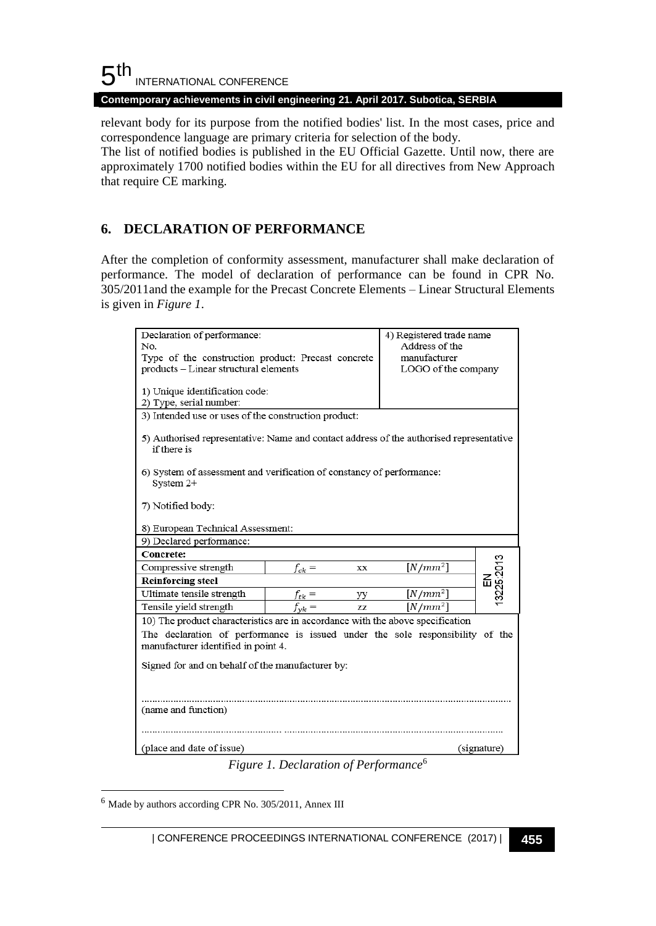### $5<sup>th</sup>$ INTERNATIONAL CONFERENCE

**Contemporary achievements in civil engineering 21. April 2017. Subotica, SERBIA**

relevant body for its purpose from the notified bodies' list. In the most cases, price and correspondence language are primary criteria for selection of the body.

The list of notified bodies is published in the EU Official Gazette. Until now, there are approximately 1700 notified bodies within the EU for all directives from New Approach that require CE marking.

### **6. DECLARATION OF PERFORMANCE**

After the completion of conformity assessment, manufacturer shall make declaration of performance. The model of declaration of performance can be found in CPR No. 305/2011and the example for the Precast Concrete Elements – Linear Structural Elements is given in *Figure 1*.

| Declaration of performance:                                                                            | 4) Registered trade name |            |           |  |  |  |  |
|--------------------------------------------------------------------------------------------------------|--------------------------|------------|-----------|--|--|--|--|
| No.                                                                                                    | Address of the           |            |           |  |  |  |  |
| Type of the construction product: Precast concrete                                                     | manufacturer             |            |           |  |  |  |  |
| products - Linear structural elements                                                                  | LOGO of the company      |            |           |  |  |  |  |
| 1) Unique identification code:                                                                         |                          |            |           |  |  |  |  |
| 2) Type, serial number:                                                                                |                          |            |           |  |  |  |  |
| 3) Intended use or uses of the construction product:                                                   |                          |            |           |  |  |  |  |
|                                                                                                        |                          |            |           |  |  |  |  |
| 5) Authorised representative: Name and contact address of the authorised representative<br>if there is |                          |            |           |  |  |  |  |
| 6) System of assessment and verification of constancy of performance:<br>System 2+                     |                          |            |           |  |  |  |  |
|                                                                                                        |                          |            |           |  |  |  |  |
| 7) Notified body:                                                                                      |                          |            |           |  |  |  |  |
| 8) European Technical Assessment:                                                                      |                          |            |           |  |  |  |  |
| 9) Declared performance:                                                                               |                          |            |           |  |  |  |  |
| Concrete:                                                                                              |                          |            |           |  |  |  |  |
| Compressive strength                                                                                   | $f_{ck} =$<br>XX         | $[N/mm^2]$ | 3225:2013 |  |  |  |  |
| <b>Reinforcing steel</b>                                                                               |                          |            | 띺         |  |  |  |  |
| Ultimate tensile strength                                                                              | $f_{tk} =$<br>уу         | $[N/mm^2]$ |           |  |  |  |  |
| Tensile yield strength                                                                                 | $f_{\gamma k} =$<br>ZZ   | $[N/mm^2]$ |           |  |  |  |  |
| 10) The product characteristics are in accordance with the above specification                         |                          |            |           |  |  |  |  |
| The declaration of performance is issued under the sole responsibility of the                          |                          |            |           |  |  |  |  |
| manufacturer identified in point 4.                                                                    |                          |            |           |  |  |  |  |
|                                                                                                        |                          |            |           |  |  |  |  |
| Signed for and on behalf of the manufacturer by:                                                       |                          |            |           |  |  |  |  |
|                                                                                                        |                          |            |           |  |  |  |  |
|                                                                                                        |                          |            |           |  |  |  |  |
| (name and function)                                                                                    |                          |            |           |  |  |  |  |
|                                                                                                        |                          |            |           |  |  |  |  |
|                                                                                                        |                          |            |           |  |  |  |  |
| (place and date of issue)<br>(signature)<br>$\epsilon$                                                 |                          |            |           |  |  |  |  |

*Figure 1. Declaration of Performance*<sup>6</sup>

<sup>6</sup> Made by authors according CPR No. 305/2011, Annex III

l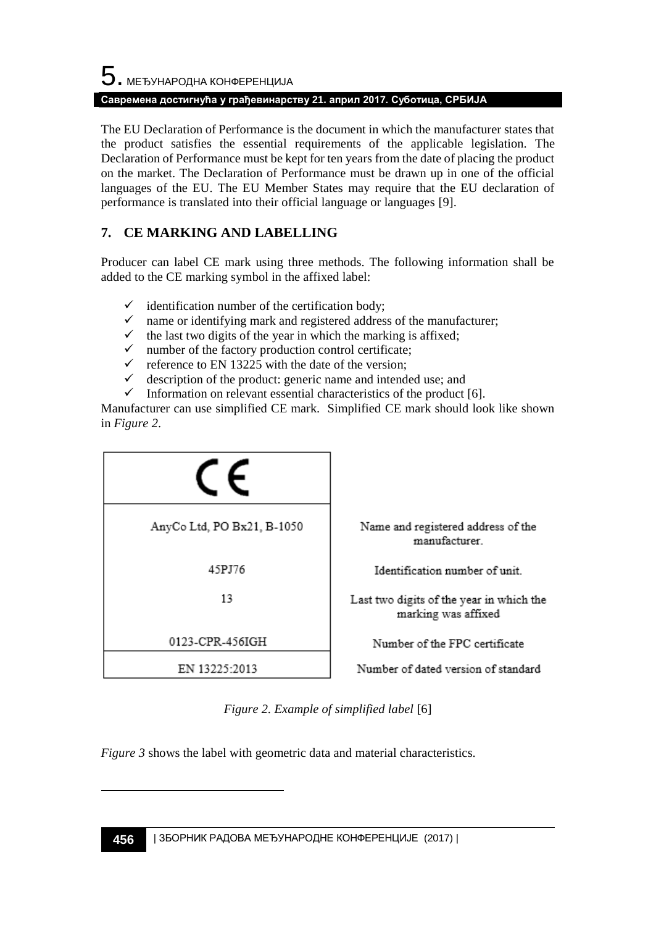The EU Declaration of Performance is the document in which the manufacturer states that the product satisfies the essential requirements of the applicable legislation. The Declaration of Performance must be kept for ten years from the date of placing the product on the market. The Declaration of Performance must be drawn up in one of the official languages of the EU. The EU Member States may require that the EU declaration of performance is translated into their official language or languages [9].

## **7. CE MARKING AND LABELLING**

Producer can label CE mark using three methods. The following information shall be added to the CE marking symbol in the affixed label:

- identification number of the certification body;
- $\checkmark$  name or identifying mark and registered address of the manufacturer;
- $\checkmark$  the last two digits of the year in which the marking is affixed;
- $\checkmark$  number of the factory production control certificate;
- $\checkmark$  reference to EN 13225 with the date of the version;
- $\checkmark$  description of the product: generic name and intended use; and
- $\checkmark$  Information on relevant essential characteristics of the product [6].

Manufacturer can use simplified CE mark. Simplified CE mark should look like shown in *Figure 2*.

| AnyCo Ltd, PO Bx21, B-1050 | Name and registered address of the<br>manufacturer.             |
|----------------------------|-----------------------------------------------------------------|
| 45PJ76                     | Identification number of unit.                                  |
| 13                         | Last two digits of the year in which the<br>marking was affixed |
| 0123-CPR-456IGH            | Number of the FPC certificate                                   |
| EN 13225:2013              | Number of dated version of standard                             |

*Figure 2. Example of simplified label* [6]

*Figure 3* shows the label with geometric data and material characteristics.

l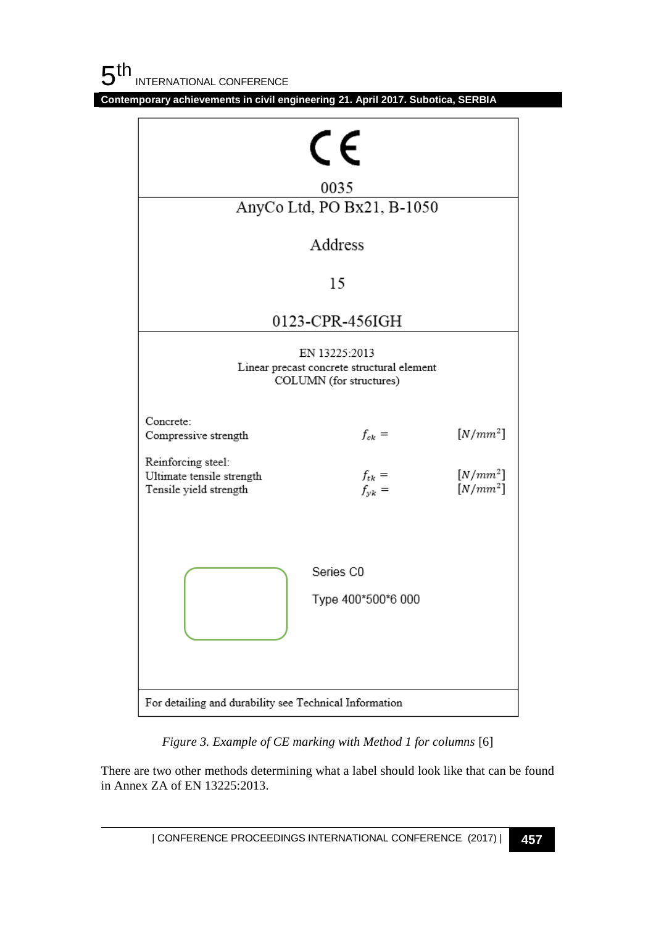| CE<br>0035                                                                             |                                 |                          |  |  |  |  |
|----------------------------------------------------------------------------------------|---------------------------------|--------------------------|--|--|--|--|
| AnyCo Ltd, PO Bx21, B-1050                                                             |                                 |                          |  |  |  |  |
|                                                                                        |                                 |                          |  |  |  |  |
| Address                                                                                |                                 |                          |  |  |  |  |
| 15                                                                                     |                                 |                          |  |  |  |  |
| 0123-CPR-456IGH                                                                        |                                 |                          |  |  |  |  |
| EN 13225:2013<br>Linear precast concrete structural element<br>COLUMN (for structures) |                                 |                          |  |  |  |  |
| Concrete:<br>Compressive strength                                                      | $f_{ck} =$                      | $[N/mm^2]$               |  |  |  |  |
| Reinforcing steel:<br>Ultimate tensile strength<br>Tensile yield strength              | $f_{tk}$ =<br>$f_{yk}$ =        | $[N/mm^2]$<br>$[N/mm^2]$ |  |  |  |  |
|                                                                                        | Series C0<br>Type 400*500*6 000 |                          |  |  |  |  |
| For detailing and durability see Technical Information                                 |                                 |                          |  |  |  |  |

*Figure 3. Example of CE marking with Method 1 for columns* [6]

There are two other methods determining what a label should look like that can be found in Annex ZA of EN 13225:2013.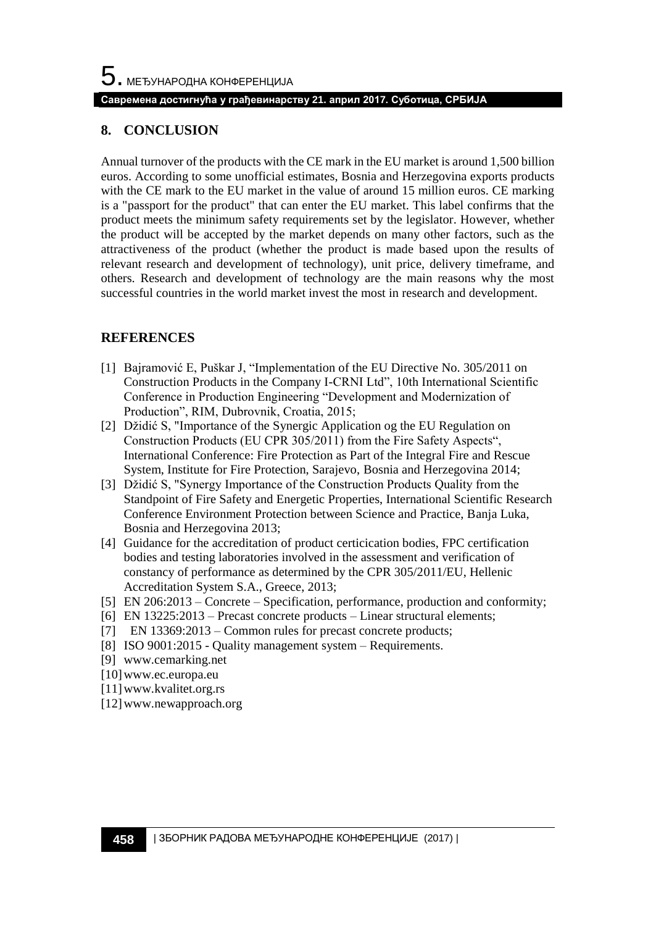#### **8. CONCLUSION**

Annual turnover of the products with the CE mark in the EU market is around 1,500 billion euros. According to some unofficial estimates, Bosnia and Herzegovina exports products with the CE mark to the EU market in the value of around 15 million euros. CE marking is a "passport for the product" that can enter the EU market. This label confirms that the product meets the minimum safety requirements set by the legislator. However, whether the product will be accepted by the market depends on many other factors, such as the attractiveness of the product (whether the product is made based upon the results of relevant research and development of technology), unit price, delivery timeframe, and others. Research and development of technology are the main reasons why the most successful countries in the world market invest the most in research and development.

#### **REFERENCES**

- [1] Bajramović E, Puškar J, "Implementation of the EU Directive No. 305/2011 on Construction Products in the Company I-CRNI Ltd", 10th International Scientific Conference in Production Engineering "Development and Modernization of Production", RIM, Dubrovnik, Croatia, 2015;
- [2] Džidić S, "Importance of the Synergic Application og the EU Regulation on Construction Products (EU CPR 305/2011) from the Fire Safety Aspects", International Conference: Fire Protection as Part of the Integral Fire and Rescue System, Institute for Fire Protection, Sarajevo, Bosnia and Herzegovina 2014;
- [3] Džidić S, "Synergy Importance of the Construction Products Quality from the Standpoint of Fire Safety and Energetic Properties, International Scientific Research Conference Environment Protection between Science and Practice, Banja Luka, Bosnia and Herzegovina 2013;
- [4] Guidance for the accreditation of product certicication bodies, FPC certification bodies and testing laboratories involved in the assessment and verification of constancy of performance as determined by the CPR 305/2011/EU, Hellenic Accreditation System S.A., Greece, 2013;
- [5] EN 206:2013 Concrete Specification, performance, production and conformity;
- [6] EN 13225:2013 Precast concrete products Linear structural elements;
- [7] EN 13369:2013 Common rules for precast concrete products;
- [8] ISO 9001:2015 Quality management system Requirements.
- [9] [www.cemarking.net](http://www.cemarking.net/)
- [10[\]www.ec.europa.eu](http://www.ec.europa.eu/)
- [11[\]www.kvalitet.org.rs](http://www.kvalitet.org.rs/)
- [12[\]www.newapproach.org](http://www.newapproach.org/)